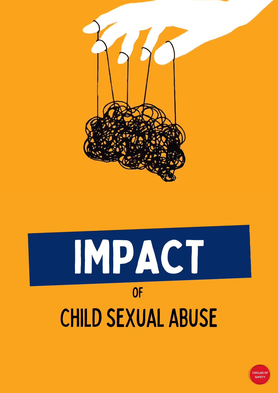

# IMPACT of childsexual abuse

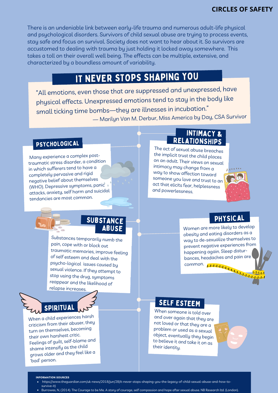There is an undeniable link between early-life trauma and numerous adult-life physical and psychological disorders. Survivors of child sexual abuse are trying to process events, stay safe and focus on survival. Society does not want to hear about it. So survivors are accustomed to dealing with trauma by just holding it locked away somewhere. This takes a toll on their overall well being. The effects can be multiple, extensive, and characterized by a boundless amount of variability.

# IT NEVER STOPS SHAPING YOU

"All emotions, even those that are suppresse<sup>d</sup> and unexpressed, have physical effects. Unexpressed emotions tend to stay in the body like small ticking time bombs—they are illnesses in incubation." ― Marilyn Van M. Derbur, Miss America by Day, CSA Survivor

#### PSYCHOLOGICAL

Many experience <sup>a</sup> complex posttraumatic stress disorder, <sup>a</sup> condition in which sufferers tend to have <sup>a</sup> completely pervasive and rigid negative belief about themselves (WHO). Depressive symptoms, panic attacks, anxiety, self harm and suicidal tendancies are most common.

#### INTIMACY & **RELATIONSHIPS**

The act of sexual abuse breaches the implicit trust the child places on an adult. Their views on sexual intimacy may change from <sup>a</sup> way to show affection toward someone you love and trust to an act that elicits fear, helplessness and powerlessness.



#### SUBSTANCE ABUSE

Substances temporarily numb the pain, cope with or block out traumatic memories, improve feeling of self esteem and deal with the psycho-logical issues caused by sexual violence. If they attempt to stop using the drug, symptoms reappear and the likelihood of relapse increases.

# SPIRITUAL

When <sup>a</sup> child experiences harsh criticism from their abuser, they turn on themselves, becoming their own harshest critic. Feelings of guilt, self-blame and shame intensify as the child grows older and they feel like <sup>a</sup> 'bad' person.

#### **PHYSICAL**

Women are more likely to develop obesity and eating disorders as <sup>a</sup> way to de-sexualize themselves to preven<sup>t</sup> negative experiences from happening again. Sleep disturbances, headaches and pain are common.

#### SELF ESTEEM

When someone is told over and over again that they are not loved or that they are <sup>a</sup> problem or used as <sup>a</sup> sexual object, eventually they begin to believe it and take it on as their identity.



**INFORMATION SOURCES**

- [https://www.theguardian.com/uk-news/2018/jun/28/it-never-stops-shaping-you-the-legacy-of-child-sexual-abuse-and-how-to](https://www.theguardian.com/uk-news/2018/jun/28/it-never-stops-shaping-you-the-legacy-of-child-sexual-abuse-and-how-to-survive-it)survive-it)
- Burrowes, N, (2014). The Courage to be Me. A story of courage, self compassion and hope after sexual abuse. NB Research ltd. (London).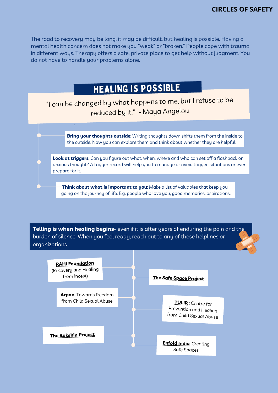The road to recovery may be long, it may be difficult, but healing is possible. Having a mental health concern does not make you "weak" or "broken." People cope with trauma in different ways. Therapy offers a safe, private place to get help without judgment. You do not have to handle your problems alone.

# HEALING IS POSSIBLE

"I can be changed by what happens to me, but <sup>I</sup> refuse to be reduced by it." - Maya Angelou

"

**Bring your thoughts outside**: Writing thoughts down shifts them from the inside to the outside. Now you can explore them and think about whether they are helpful.

**Look at triggers**: Can you figure out what, when, where and who can set off a flashback or anxious thought? A trigger record will help you to manage or avoid trigger-situations or even prepare for it.

**Think about what is important to you**: Make a list of valuables that keep you going on the journey of life. E.g. people who love you, good memories, aspirations.

**Telling is when healing begins**- even if it is after years of enduring the pain and the burden of silence. When you feel ready, reach out to any of these helplines or organizations.